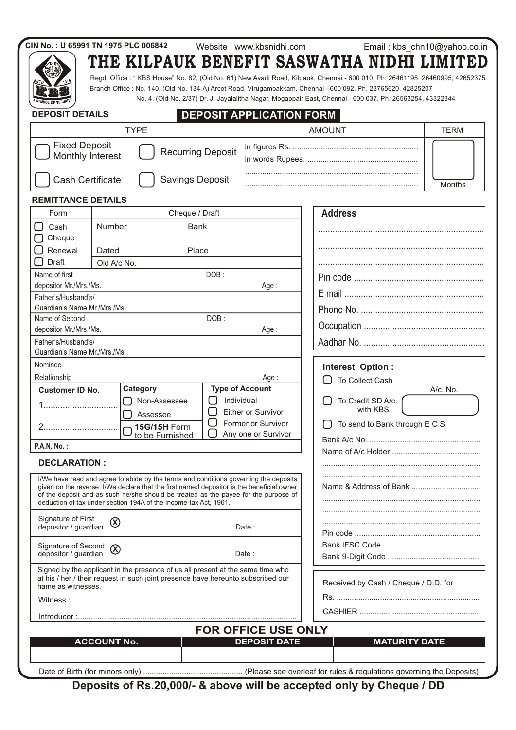|                                                | CIN No.: U 65991 TN 1975 PLC 006842                                                                                                                                                                                                                                                                                                          |         | Website: www.kbsnidhi.com                         | Email: kbs_chn10@yahoo.co.in                                                                                                                                                                                                                                                                                                                                                                            |               |  |  |
|------------------------------------------------|----------------------------------------------------------------------------------------------------------------------------------------------------------------------------------------------------------------------------------------------------------------------------------------------------------------------------------------------|---------|---------------------------------------------------|---------------------------------------------------------------------------------------------------------------------------------------------------------------------------------------------------------------------------------------------------------------------------------------------------------------------------------------------------------------------------------------------------------|---------------|--|--|
|                                                |                                                                                                                                                                                                                                                                                                                                              |         |                                                   | THE KILPAUK BENEFIT SASWATHA NIDHI LIMITED<br>Regd. Office: "KBS House" No. 82, (Old No. 61) New Avadi Road, Kilpauk, Chennai - 600 010. Ph. 26461195, 26460995, 42652375<br>Branch Office : No. 140, (Old No. 134-A) Arcot Road, Virugambakkam, Chennai - 600 092. Ph. 23765620, 42825207<br>No. 4, (Old No. 2/37) Dr. J. Jayalalitha Nagar, Mogappair East, Chennai - 600 037. Ph. 26563254, 43322344 |               |  |  |
| <b>DEPOSIT DETAILS</b>                         |                                                                                                                                                                                                                                                                                                                                              |         | <b>DEPOSIT APPLICATION FORM</b>                   |                                                                                                                                                                                                                                                                                                                                                                                                         |               |  |  |
|                                                | <b>TYPE</b>                                                                                                                                                                                                                                                                                                                                  |         |                                                   | <b>AMOUNT</b>                                                                                                                                                                                                                                                                                                                                                                                           | <b>TERM</b>   |  |  |
| <b>Fixed Deposit</b><br>Monthly Interest       | <b>Recurring Deposit</b>                                                                                                                                                                                                                                                                                                                     |         |                                                   |                                                                                                                                                                                                                                                                                                                                                                                                         |               |  |  |
| Cash Certificate                               | <b>Savings Deposit</b>                                                                                                                                                                                                                                                                                                                       |         |                                                   |                                                                                                                                                                                                                                                                                                                                                                                                         | <b>Months</b> |  |  |
| <b>REMITTANCE DETAILS</b>                      |                                                                                                                                                                                                                                                                                                                                              |         |                                                   |                                                                                                                                                                                                                                                                                                                                                                                                         |               |  |  |
| Form                                           | Cheque / Draft                                                                                                                                                                                                                                                                                                                               |         |                                                   | <b>Address</b>                                                                                                                                                                                                                                                                                                                                                                                          |               |  |  |
| Cash<br>Cheque                                 | Number<br>Bank                                                                                                                                                                                                                                                                                                                               |         |                                                   |                                                                                                                                                                                                                                                                                                                                                                                                         |               |  |  |
| Renewal                                        | Place<br>Dated                                                                                                                                                                                                                                                                                                                               |         |                                                   |                                                                                                                                                                                                                                                                                                                                                                                                         |               |  |  |
| Draft                                          | Old A/c No.                                                                                                                                                                                                                                                                                                                                  |         |                                                   |                                                                                                                                                                                                                                                                                                                                                                                                         |               |  |  |
| Name of first                                  |                                                                                                                                                                                                                                                                                                                                              | DOB:    |                                                   |                                                                                                                                                                                                                                                                                                                                                                                                         |               |  |  |
| depositor Mr./Mrs./Ms.                         |                                                                                                                                                                                                                                                                                                                                              |         | Age :                                             |                                                                                                                                                                                                                                                                                                                                                                                                         |               |  |  |
| Father's/Husband's/                            |                                                                                                                                                                                                                                                                                                                                              |         |                                                   |                                                                                                                                                                                                                                                                                                                                                                                                         |               |  |  |
| Guardian's Name Mr./Mrs./Ms.<br>Name of Second |                                                                                                                                                                                                                                                                                                                                              |         |                                                   |                                                                                                                                                                                                                                                                                                                                                                                                         |               |  |  |
| depositor Mr./Mrs./Ms.                         |                                                                                                                                                                                                                                                                                                                                              | DOB:    | Age:                                              |                                                                                                                                                                                                                                                                                                                                                                                                         |               |  |  |
| Father's/Husband's/                            |                                                                                                                                                                                                                                                                                                                                              |         |                                                   |                                                                                                                                                                                                                                                                                                                                                                                                         |               |  |  |
| Guardian's Name Mr./Mrs./Ms.                   |                                                                                                                                                                                                                                                                                                                                              |         |                                                   |                                                                                                                                                                                                                                                                                                                                                                                                         |               |  |  |
| Nominee                                        |                                                                                                                                                                                                                                                                                                                                              |         |                                                   | Interest Option:                                                                                                                                                                                                                                                                                                                                                                                        |               |  |  |
| Relationship                                   |                                                                                                                                                                                                                                                                                                                                              |         | Age :                                             | To Collect Cash                                                                                                                                                                                                                                                                                                                                                                                         |               |  |  |
| <b>Customer ID No.</b>                         | Category                                                                                                                                                                                                                                                                                                                                     |         | <b>Type of Account</b>                            |                                                                                                                                                                                                                                                                                                                                                                                                         | A/c. No.      |  |  |
|                                                | Non-Assessee<br>Assessee                                                                                                                                                                                                                                                                                                                     |         | Individual<br>Either or Survivor                  | To Credit SD A/c.<br>with KBS                                                                                                                                                                                                                                                                                                                                                                           |               |  |  |
|                                                | 15G/15H Form<br>to be Furnished                                                                                                                                                                                                                                                                                                              | l.<br>U | Former or Survivor<br>Any one or Survivor         | $\Box$ To send to Bank through E C S                                                                                                                                                                                                                                                                                                                                                                    |               |  |  |
| <b>P.A.N. No.:</b>                             |                                                                                                                                                                                                                                                                                                                                              |         |                                                   |                                                                                                                                                                                                                                                                                                                                                                                                         |               |  |  |
| <b>DECLARATION:</b>                            |                                                                                                                                                                                                                                                                                                                                              |         |                                                   |                                                                                                                                                                                                                                                                                                                                                                                                         |               |  |  |
|                                                | I/We have read and agree to abide by the terms and conditions governing the deposits<br>given on the reverse. I/We declare that the first named depositor is the beneficial owner<br>of the deposit and as such he/she should be treated as the payee for the purpose of<br>deduction of tax under section 194A of the Income-tax Act, 1961. |         |                                                   |                                                                                                                                                                                                                                                                                                                                                                                                         |               |  |  |
| Signature of First<br>depositor / guardian     | $\circledR$                                                                                                                                                                                                                                                                                                                                  |         | Date :                                            |                                                                                                                                                                                                                                                                                                                                                                                                         |               |  |  |
| Signature of Second<br>depositor / guardian    | $\circledR$                                                                                                                                                                                                                                                                                                                                  |         | Date:                                             |                                                                                                                                                                                                                                                                                                                                                                                                         |               |  |  |
| name as witnesses.                             | Signed by the applicant in the presence of us all present at the same time who<br>at his / her / their request in such joint presence have hereunto subscribed our                                                                                                                                                                           |         | Received by Cash / Cheque / D.D. for              |                                                                                                                                                                                                                                                                                                                                                                                                         |               |  |  |
|                                                |                                                                                                                                                                                                                                                                                                                                              |         |                                                   |                                                                                                                                                                                                                                                                                                                                                                                                         |               |  |  |
|                                                |                                                                                                                                                                                                                                                                                                                                              |         |                                                   |                                                                                                                                                                                                                                                                                                                                                                                                         |               |  |  |
|                                                | <b>ACCOUNT No.</b>                                                                                                                                                                                                                                                                                                                           |         | <b>FOR OFFICE USE ONLY</b><br><b>DEPOSIT DATE</b> | <b>MATURITY DATE</b>                                                                                                                                                                                                                                                                                                                                                                                    |               |  |  |
|                                                |                                                                                                                                                                                                                                                                                                                                              |         |                                                   |                                                                                                                                                                                                                                                                                                                                                                                                         |               |  |  |

**Deposits of Rs.20,000/- & above will be accepted only by Cheque / DD**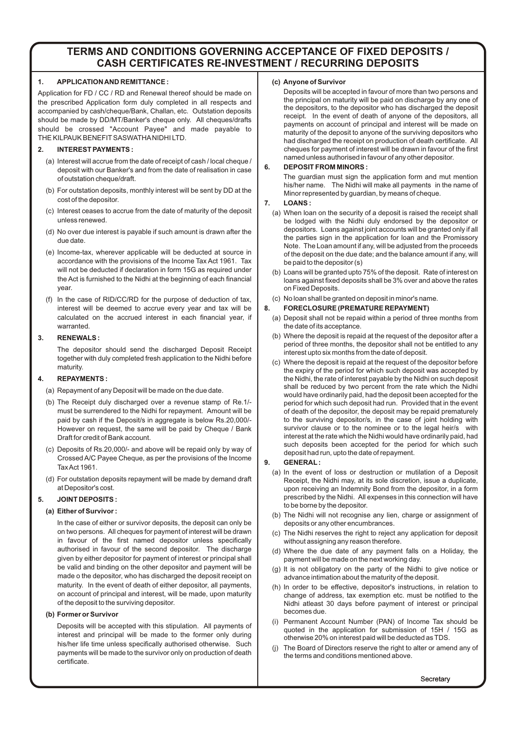### **TERMS AND CONDITIONS GOVERNING ACCEPTANCE OF FIXED DEPOSITS / CASH CERTIFICATES RE-INVESTMENT / RECURRING DEPOSITS**

#### **1. APPLICATION AND REMITTANCE :**

Application for FD / CC / RD and Renewal thereof should be made on the prescribed Application form duly completed in all respects and accompanied by cash/cheque/Bank, Challan, etc. Outstation deposits should be made by DD/MT/Banker's cheque only. All cheques/drafts should be crossed "Account Payee" and made payable to THE KILPAUK BENEFIT SASWATHANIDHI LTD.

#### **2. INTEREST PAYMENTS :**

- (a) Interest will accrue from the date of receipt of cash / local cheque / deposit with our Banker's and from the date of realisation in case of outstation cheque/draft.
- (b) For outstation deposits, monthly interest will be sent by DD at the cost of the depositor.
- (c) Interest ceases to accrue from the date of maturity of the deposit unless renewed.
- (d) No over due interest is payable if such amount is drawn after the due date.
- (e) Income-tax, wherever applicable will be deducted at source in accordance with the provisions of the Income Tax Act 1961. Tax will not be deducted if declaration in form 15G as required under the Act is furnished to the Nidhi at the beginning of each financial year.
- (f) In the case of RID/CC/RD for the purpose of deduction of tax, interest will be deemed to accrue every year and tax will be calculated on the accrued interest in each financial year, if warranted.

#### **3. RENEWALS :**

The depositor should send the discharged Deposit Receipt together with duly completed fresh application to the Nidhi before maturity.

#### **4. REPAYMENTS :**

(a) Repayment of any Deposit will be made on the due date.

- (b) The Receipt duly discharged over a revenue stamp of Re.1/ must be surrendered to the Nidhi for repayment. Amount will be paid by cash if the Deposit/s in aggregate is below Rs.20,000/- However on request, the same will be paid by Cheque / Bank Draft for credit of Bank account.
- (c) Deposits of Rs.20,000/- and above will be repaid only by way of Crossed A/C Payee Cheque, as per the provisions of the Income Tax Act 1961.
- (d) For outstation deposits repayment will be made by demand draft at Depositor's cost.

#### **5. JOINT DEPOSITS :**

#### **(a) Either of Survivor :**

In the case of either or survivor deposits, the deposit can only be on two persons. All cheques for payment of interest will be drawn in favour of the first named depositor unless specifically authorised in favour of the second depositor. The discharge given by either depositor for payment of interest or principal shall be valid and binding on the other depositor and payment will be made o the depositor, who has discharged the deposit receipt on maturity. In the event of death of either depositor, all payments, on account of principal and interest, will be made, upon maturity of the deposit to the surviving depositor.

#### **(b) Former or Survivor**

Deposits will be accepted with this stipulation. All payments of interest and principal will be made to the former only during his/her life time unless specifically authorised otherwise. Such payments will be made to the survivor only on production of death certificate.

#### **(c) Anyone of Survivor**

Deposits will be accepted in favour of more than two persons and the principal on maturity will be paid on discharge by any one of the depositors, to the depositor who has discharged the deposit receipt. In the event of death of anyone of the depositors, all payments on account of principal and interest will be made on maturity of the deposit to anyone of the surviving depositors who had discharged the receipt on production of death certificate. All cheques for payment of interest will be drawn in favour of the first named unless authorised in favour of any other depositor.

#### **6. DEPOSIT FROM MINORS :**

The guardian must sign the application form and mut mention his/her name. The Nidhi will make all payments in the name of Minor represented by guardian, by means of cheque.

#### **7. LOANS :**

- (a) When loan on the security of a deposit is raised the receipt shall be lodged with the Nidhi duly endorsed by the depositor or depositors. Loans against joint accounts will be granted only if all the parties sign in the application for loan and the Promissory Note. The Loan amount if any, will be adjusted from the proceeds of the deposit on the due date; and the balance amount if any, will be paid to the depositor (s)
- (b) Loans will be granted upto 75% of the deposit. Rate of interest on loans against fixed deposits shall be 3% over and above the rates on Fixed Deposits.
- (c) No loan shall be granted on deposit in minor's name.

#### **8. FORECLOSURE (PREMATURE REPAYMENT)**

- (a) Deposit shall not be repaid within a period of three months from the date of its acceptance.
- (b) Where the deposit is repaid at the request of the depositor after a period of three months, the depositor shall not be entitled to any interest upto six months from the date of deposit.
- (c) Where the deposit is repaid at the request of the depositor before the expiry of the period for which such deposit was accepted by the Nidhi, the rate of interest payable by the Nidhi on such deposit shall be reduced by two percent from the rate which the Nidhi would have ordinarily paid, had the deposit been accepted for the period for which such deposit had run. Provided that in the event of death of the depositor, the deposit may be repaid prematurely to the surviving depositor/s, in the case of joint holding with survivor clause or to the nominee or to the legal heir/s with interest at the rate which the Nidhi would have ordinarily paid, had such deposits been accepted for the period for which such deposit had run, upto the date of repayment.

#### **9. GENERAL:**

- (a) In the event of loss or destruction or mutilation of a Deposit Receipt, the Nidhi may, at its sole discretion, issue a duplicate, upon receiving an Indemnity Bond from the depositor, in a form prescribed by the Nidhi. All expenses in this connection will have to be borne by the depositor.
- (b) The Nidhi will not recognise any lien, charge or assignment of deposits or any other encumbrances.
- (c) The Nidhi reserves the right to reject any application for deposit without assigning any reason therefore.
- (d) Where the due date of any payment falls on a Holiday, the payment will be made on the next working day.
- (g) It is not obligatory on the party of the Nidhi to give notice or advance intimation about the maturity of the deposit.
- (h) In order to be effective, depositor's instructions, in relation to change of address, tax exemption etc. must be notified to the Nidhi atleast 30 days before payment of interest or principal becomes due.
- (i) Permanent Account Number (PAN) of Income Tax should be quoted in the application for submission of 15H / 15G as otherwise 20% on interest paid will be deducted as TDS.
- The Board of Directors reserve the right to alter or amend any of the terms and conditions mentioned above.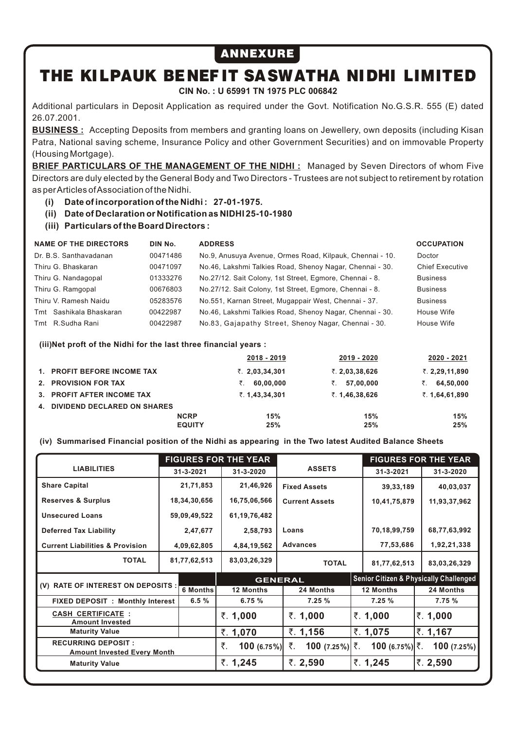## ANNEXURE

# THE KILPAUK BENEF IT SASWATHA NIDHI LIMITED

**CIN No. : U 65991 TN 1975 PLC 006842**

Additional particulars in Deposit Application as required under the Govt. Notification No.G.S.R. 555 (E) dated 26.07.2001.

**BUSINESS :** Accepting Deposits from members and granting loans on Jewellery, own deposits (including Kisan Patra, National saving scheme, Insurance Policy and other Government Securities) and on immovable Property (Housing Mortgage).

**BRIEF PARTICULARS OF THE MANAGEMENT OF THE NIDHI:** Managed by Seven Directors of whom Five Directors are duly elected by the General Body and Two Directors - Trustees are not subject to retirement by rotation as per Articles of Association of the Nidhi.

**(i) Date of incorporation of the Nidhi : 27-01-1975.**

- **(ii) Date of Declaration or Notification as NIDHI 25-10-1980**
- **(iii) Particulars of the Board Directors :**

| <b>NAME OF THE DIRECTORS</b> | DIN No.  | <b>ADDRESS</b>                                           | <b>OCCUPATION</b>      |
|------------------------------|----------|----------------------------------------------------------|------------------------|
| Dr. B.S. Santhavadanan       | 00471486 | No.9, Anusuya Avenue, Ormes Road, Kilpauk, Chennai - 10. | Doctor                 |
| Thiru G. Bhaskaran           | 00471097 | No.46, Lakshmi Talkies Road, Shenoy Nagar, Chennai - 30. | <b>Chief Executive</b> |
| Thiru G. Nandagopal          | 01333276 | No.27/12. Sait Colony, 1st Street, Egmore, Chennai - 8.  | <b>Business</b>        |
| Thiru G. Ramgopal            | 00676803 | No.27/12. Sait Colony, 1st Street, Egmore, Chennai - 8.  | <b>Business</b>        |
| Thiru V. Ramesh Naidu        | 05283576 | No.551, Karnan Street, Mugappair West, Chennai - 37.     | <b>Business</b>        |
| Tmt Sashikala Bhaskaran      | 00422987 | No.46, Lakshmi Talkies Road, Shenoy Nagar, Chennai - 30. | House Wife             |
| Tmt R.Sudha Rani             | 00422987 | No.83, Gajapathy Street, Shenoy Nagar, Chennai - 30.     | House Wife             |

**(iii)Net proft of the Nidhi for the last three financial years :**

|    |                             |               | 2018 - 2019             | 2019 - 2020      | 2020 - 2021     |
|----|-----------------------------|---------------|-------------------------|------------------|-----------------|
|    | 1. PROFIT BEFORE INCOME TAX |               | $\bar{z}$ . 2,03,34,301 | ₹. $2,03,38,626$ | ₹. 2,29,11,890  |
|    | 2. PROVISION FOR TAX        |               | 60.00.000               | 57.00.000<br>₹.  | 64,50,000<br>₹. |
|    | 3. PROFIT AFTER INCOME TAX  |               | ₹. 1,43,34,301          | ₹. 1,46,38,626   | ₹. 1,64,61,890  |
| 4. | DIVIDEND DECLARED ON SHARES |               |                         |                  |                 |
|    |                             | <b>NCRP</b>   | 15%                     | 15%              | 15%             |
|    |                             | <b>EQUITY</b> | 25%                     | 25%              | 25%             |

**(iv) Summarised Financial position of the Nidhi as appearing in the Two latest Audited Balance Sheets**

| <b>LIABILITIES</b>                                              |  | <b>FIGURES FOR THE YEAR</b> |    |                  |                        |  | <b>FIGURES FOR THE YEAR</b> |  |                                                   |  |
|-----------------------------------------------------------------|--|-----------------------------|----|------------------|------------------------|--|-----------------------------|--|---------------------------------------------------|--|
|                                                                 |  | 31-3-2021                   |    | 31-3-2020        | <b>ASSETS</b>          |  | 31-3-2021                   |  | 31-3-2020                                         |  |
| <b>Share Capital</b>                                            |  | 21,71,853                   |    | 21,46,926        | <b>Fixed Assets</b>    |  | 39, 33, 189                 |  | 40,03,037                                         |  |
| <b>Reserves &amp; Surplus</b>                                   |  | 18,34,30,656                |    | 16,75,06,566     | <b>Current Assets</b>  |  | 10,41,75,879                |  | 11,93,37,962                                      |  |
| <b>Unsecured Loans</b>                                          |  | 59,09,49,522                |    | 61, 19, 76, 482  |                        |  |                             |  |                                                   |  |
| <b>Deferred Tax Liability</b>                                   |  | 2,47,677                    |    | 2,58,793         | Loans                  |  | 70,18,99,759                |  | 68,77,63,992                                      |  |
| <b>Current Liabilities &amp; Provision</b>                      |  | 4,09,62,805                 |    | 4,84,19,562      | <b>Advances</b>        |  | 77,53,686                   |  | 1,92,21,338                                       |  |
| <b>TOTAL</b>                                                    |  | 81,77,62,513                |    | 83,03,26,329     | <b>TOTAL</b>           |  | 81,77,62,513                |  | 83,03,26,329                                      |  |
| (V) RATE OF INTEREST ON DEPOSITS :                              |  |                             |    |                  | <b>GENERAL</b>         |  |                             |  | <b>Senior Citizen &amp; Physically Challenged</b> |  |
|                                                                 |  | <b>6 Months</b>             |    | <b>12 Months</b> | 24 Months              |  | 12 Months                   |  | 24 Months                                         |  |
| <b>FIXED DEPOSIT : Monthly Interest</b>                         |  | 6.5%                        |    | 6.75 %           | 7.25 %                 |  | 7.25%                       |  | 7.75 %                                            |  |
| <b>CASH CERTIFICATE:</b><br><b>Amount Invested</b>              |  |                             |    | ₹. 1,000         | ₹. 1,000               |  | ₹. 1,000                    |  | ₹. 1,000                                          |  |
| <b>Maturity Value</b>                                           |  |                             |    | ₹. 1,070         | ₹. $1,156$             |  | ₹. 1,075                    |  | ₹. 1,167                                          |  |
| <b>RECURRING DEPOSIT:</b><br><b>Amount Invested Every Month</b> |  |                             | ₹. | 100(6.75%)       | ₹.<br>$100$ (7.25%) ₹. |  | $100$ (6.75%) ₹.            |  | 100(7.25%)                                        |  |
| <b>Maturity Value</b>                                           |  |                             |    | ₹. 1,245         | ₹. 2,590               |  | ₹. 1,245                    |  | ₹. 2,590                                          |  |